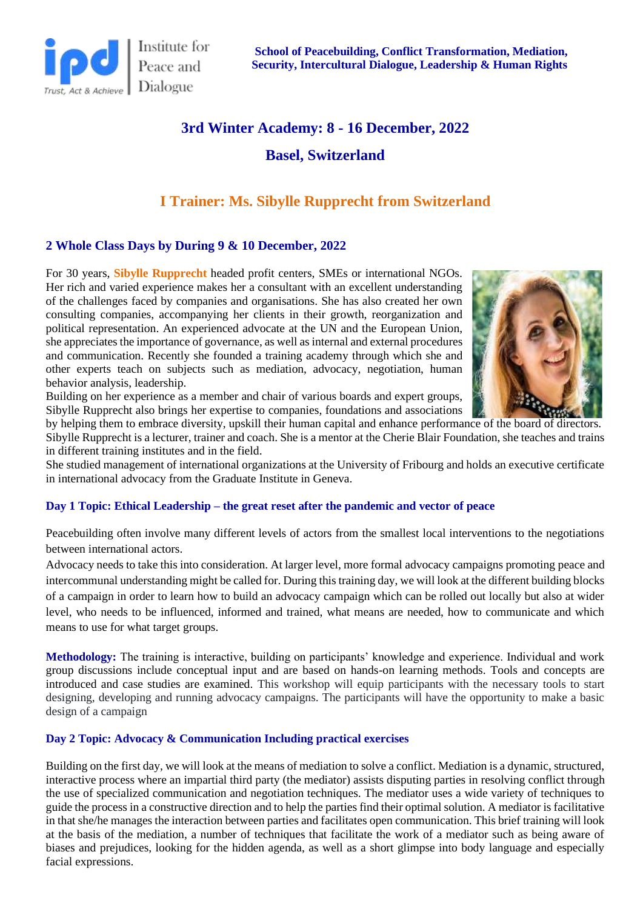

# **3rd Winter Academy: 8 - 16 December, 2022 Basel, Switzerland**

## **I Trainer: Ms. Sibylle Rupprecht from Switzerland**

### **2 Whole Class Days by During 9 & 10 December, 2022**

For 30 years, **Sibylle Rupprecht** headed profit centers, SMEs or international NGOs. Her rich and varied experience makes her a consultant with an excellent understanding of the challenges faced by companies and organisations. She has also created her own consulting companies, accompanying her clients in their growth, reorganization and political representation. An experienced advocate at the UN and the European Union, she appreciates the importance of governance, as well as internal and external procedures and communication. Recently she founded a training academy through which she and other experts teach on subjects such as mediation, advocacy, negotiation, human behavior analysis, leadership.



Building on her experience as a member and chair of various boards and expert groups, Sibylle Rupprecht also brings her expertise to companies, foundations and associations

by helping them to embrace diversity, upskill their human capital and enhance performance of the board of directors. Sibylle Rupprecht is a lecturer, trainer and coach. She is a mentor at the Cherie Blair Foundation, she teaches and trains in different training institutes and in the field.

She studied management of international organizations at the University of Fribourg and holds an executive certificate in international advocacy from the Graduate Institute in Geneva.

### **Day 1 Topic: Ethical Leadership – the great reset after the pandemic and vector of peace**

Peacebuilding often involve many different levels of actors from the smallest local interventions to the negotiations between international actors.

Advocacy needs to take this into consideration. At larger level, more formal advocacy campaigns promoting peace and intercommunal understanding might be called for. During this training day, we will look at the different building blocks of a campaign in order to learn how to build an advocacy campaign which can be rolled out locally but also at wider level, who needs to be influenced, informed and trained, what means are needed, how to communicate and which means to use for what target groups.

**Methodology:** The training is interactive, building on participants' knowledge and experience. Individual and work group discussions include conceptual input and are based on hands-on learning methods. Tools and concepts are introduced and case studies are examined. This workshop will equip participants with the necessary tools to start designing, developing and running advocacy campaigns. The participants will have the opportunity to make a basic design of a campaign

#### **Day 2 Topic: Advocacy & Communication Including practical exercises**

Building on the first day, we will look at the means of mediation to solve a conflict. Mediation is a dynamic, structured, interactive process where an impartial third party (the mediator) assists disputing parties in resolving conflict through the use of specialized communication and negotiation techniques. The mediator uses a wide variety of techniques to guide the process in a constructive direction and to help the parties find their optimal solution. A mediator is facilitative in that she/he manages the interaction between parties and facilitates open communication. This brief training will look at the basis of the mediation, a number of techniques that facilitate the work of a mediator such as being aware of biases and prejudices, looking for the hidden agenda, as well as a short glimpse into body language and especially facial expressions.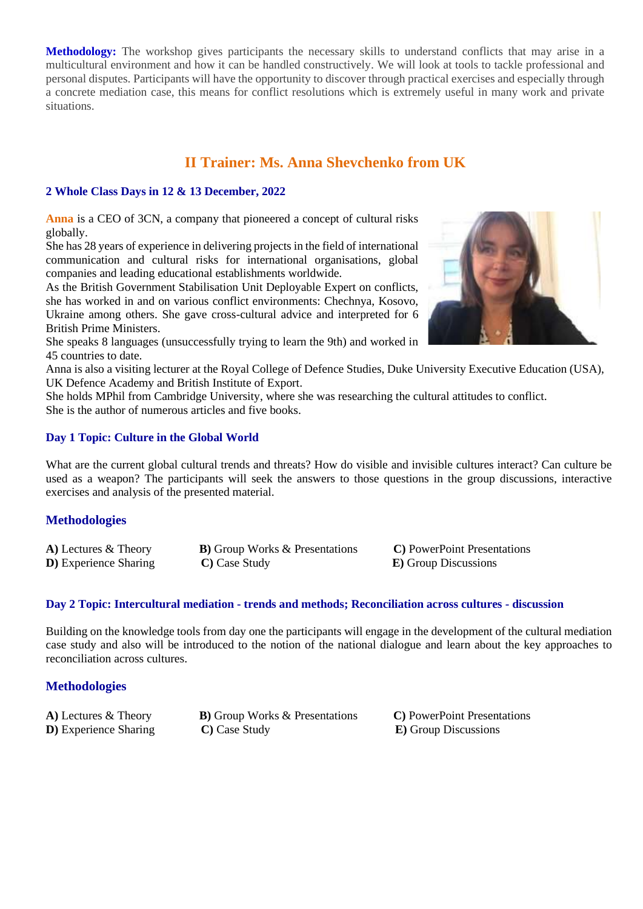**Methodology:** The workshop gives participants the necessary skills to understand conflicts that may arise in a multicultural environment and how it can be handled constructively. We will look at tools to tackle professional and personal disputes. Participants will have the opportunity to discover through practical exercises and especially through a concrete mediation case, this means for conflict resolutions which is extremely useful in many work and private situations.

## **II Trainer: Ms. Anna Shevchenko from UK**

#### **2 Whole Class Days in 12 & 13 December, 2022**

**Anna** is a CEO of 3CN, a company that pioneered a concept of cultural risks globally.

She has 28 years of experience in delivering projects in the field of international communication and cultural risks for international organisations, global companies and leading educational establishments worldwide.

As the British Government Stabilisation Unit Deployable Expert on conflicts, she has worked in and on various conflict environments: Chechnya, Kosovo, Ukraine among others. She gave cross-cultural advice and interpreted for 6 British Prime Ministers.

She speaks 8 languages (unsuccessfully trying to learn the 9th) and worked in 45 countries to date.

Anna is also a visiting lecturer at the Royal College of Defence Studies, Duke University Executive Education (USA), UK Defence Academy and British Institute of Export.

She holds MPhil from Cambridge University, where she was researching the cultural attitudes to conflict. She is the author of numerous articles and five books.

#### **Day 1 Topic: Culture in the Global World**

What are the current global cultural trends and threats? How do visible and invisible cultures interact? Can culture be used as a weapon? The participants will seek the answers to those questions in the group discussions, interactive exercises and analysis of the presented material.

#### **Methodologies**

A) Lectures & Theory **B**) Group Works & Presentations **C**) PowerPoint Presentations **D**) Experience Sharing C) Case Study E) Group Discussions

#### **Day 2 Topic: Intercultural mediation - trends and methods; Reconciliation across cultures - discussion**

Building on the knowledge tools from day one the participants will engage in the development of the cultural mediation case study and also will be introduced to the notion of the national dialogue and learn about the key approaches to reconciliation across cultures.

#### **Methodologies**

**A)** Lectures & Theory **B)** Group Works & Presentations **C)** PowerPoint Presentations **D**) Experience Sharing **C**) Case Study **E**) Group Discussions